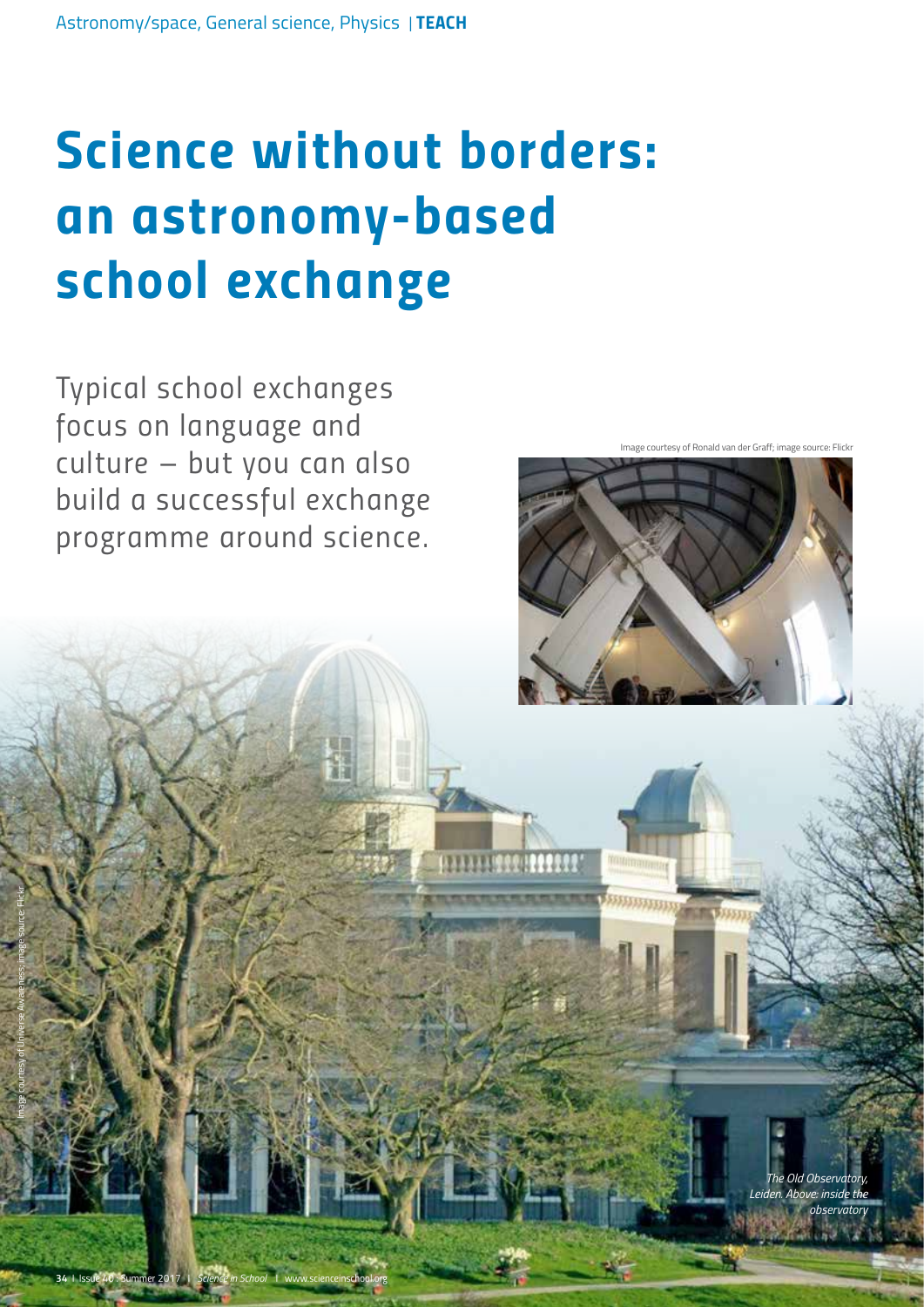# *Science without borders: an astronomy-based school exchange*

*Typical school exchanges focus on language and culture – but you can also build a successful exchange programme around science.* 

Image courtesy of Ronald van der Graff; image source: Flickr



*The Old Observatory, Leiden. Above: inside the observatory*

Image courtesy of Universe Awareness; image source: Flickr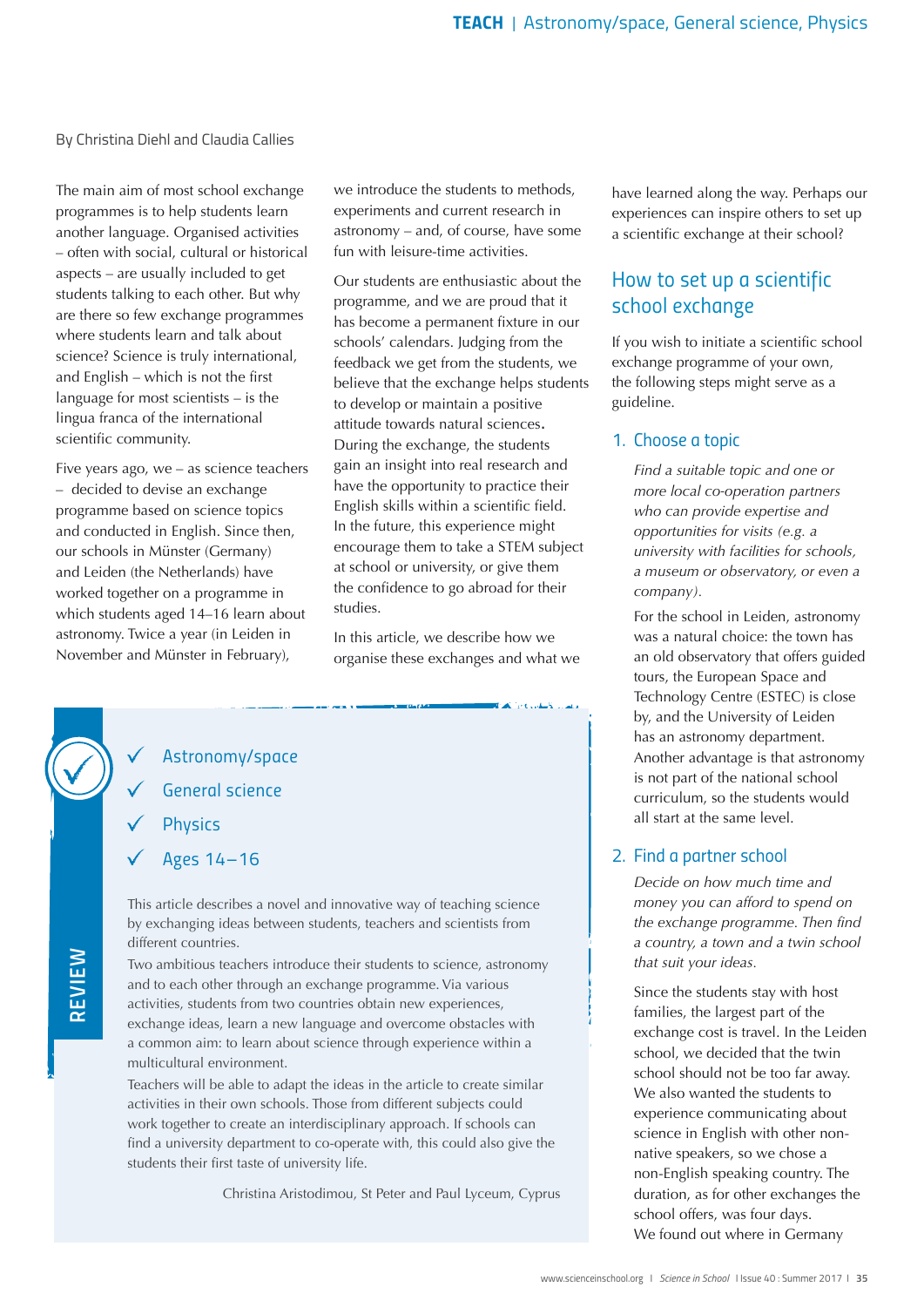#### By Christina Diehl and Claudia Callies

The main aim of most school exchange programmes is to help students learn another language. Organised activities – often with social, cultural or historical aspects – are usually included to get students talking to each other. But why are there so few exchange programmes where students learn and talk about science? Science is truly international, and English – which is not the first language for most scientists – is the lingua franca of the international scientific community.

Five years ago, we – as science teachers – decided to devise an exchange programme based on science topics and conducted in English. Since then, our schools in Münster (Germany) and Leiden (the Netherlands) have worked together on a programme in which students aged 14–16 learn about astronomy. Twice a year (in Leiden in November and Münster in February),

we introduce the students to methods, experiments and current research in astronomy – and, of course, have some fun with leisure-time activities.

Our students are enthusiastic about the programme, and we are proud that it has become a permanent fixture in our schools' calendars. Judging from the feedback we get from the students, we believe that the exchange helps students to develop or maintain a positive attitude towards natural sciences. During the exchange, the students gain an insight into real research and have the opportunity to practice their English skills within a scientific field. In the future, this experience might encourage them to take a STEM subject at school or university, or give them the confidence to go abroad for their studies.

In this article, we describe how we organise these exchanges and what we

*Astronomy/space*

*General science*

*Physics*

*Ages 14–16*

This article describes a novel and innovative way of teaching science by exchanging ideas between students, teachers and scientists from different countries.

Two ambitious teachers introduce their students to science, astronomy and to each other through an exchange programme. Via various activities, students from two countries obtain new experiences, exchange ideas, learn a new language and overcome obstacles with a common aim: to learn about science through experience within a multicultural environment.

Teachers will be able to adapt the ideas in the article to create similar activities in their own schools. Those from different subjects could work together to create an interdisciplinary approach. If schools can find a university department to co-operate with, this could also give the students their first taste of university life.

Christina Aristodimou, St Peter and Paul Lyceum, Cyprus

have learned along the way. Perhaps our experiences can inspire others to set up a scientific exchange at their school?

## *How to set up a scientific school exchange*

If you wish to initiate a scientific school exchange programme of your own, the following steps might serve as a guideline.

#### *1. Choose a topic*

*Find a suitable topic and one or more local co-operation partners who can provide expertise and opportunities for visits (e.g. a university with facilities for schools, a museum or observatory, or even a company).*

For the school in Leiden, astronomy was a natural choice: the town has an old observatory that offers guided tours, the European Space and Technology Centre (ESTEC) is close by, and the University of Leiden has an astronomy department. Another advantage is that astronomy is not part of the national school curriculum, so the students would all start at the same level.

#### *2. Find a partner school*

*Decide on how much time and money you can afford to spend on the exchange programme. Then find a country, a town and a twin school that suit your ideas.*

Since the students stay with host families, the largest part of the exchange cost is travel. In the Leiden school, we decided that the twin school should not be too far away. We also wanted the students to experience communicating about science in English with other nonnative speakers, so we chose a non-English speaking country. The duration, as for other exchanges the school offers, was four days. We found out where in Germany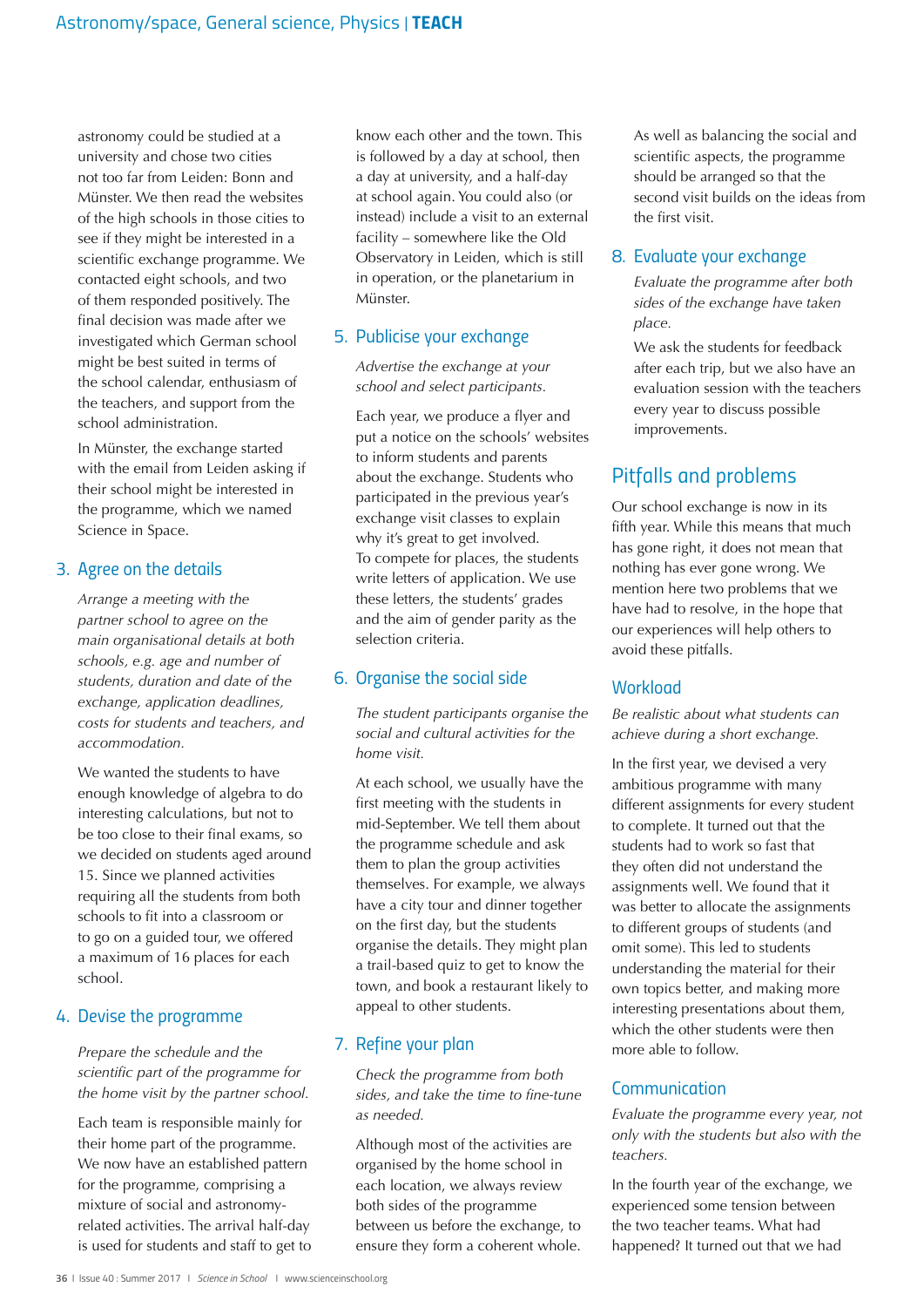astronomy could be studied at a university and chose two cities not too far from Leiden: Bonn and Münster. We then read the websites of the high schools in those cities to see if they might be interested in a scientific exchange programme. We contacted eight schools, and two of them responded positively. The final decision was made after we investigated which German school might be best suited in terms of the school calendar, enthusiasm of the teachers, and support from the school administration.

In Münster, the exchange started with the email from Leiden asking if their school might be interested in the programme, which we named Science in Space.

#### *3. Agree on the details*

*Arrange a meeting with the partner school to agree on the main organisational details at both schools, e.g. age and number of students, duration and date of the exchange, application deadlines, costs for students and teachers, and accommodation.*

We wanted the students to have enough knowledge of algebra to do interesting calculations, but not to be too close to their final exams, so we decided on students aged around 15. Since we planned activities requiring all the students from both schools to fit into a classroom or to go on a guided tour, we offered a maximum of 16 places for each school.

#### *4. Devise the programme*

*Prepare the schedule and the scientific part of the programme for the home visit by the partner school.*

Each team is responsible mainly for their home part of the programme. We now have an established pattern for the programme, comprising a mixture of social and astronomyrelated activities. The arrival half-day is used for students and staff to get to

know each other and the town. This is followed by a day at school, then a day at university, and a half-day at school again. You could also (or instead) include a visit to an external facility – somewhere like the Old Observatory in Leiden, which is still in operation, or the planetarium in Münster.

## *5. Publicise your exchange*

*Advertise the exchange at your school and select participants.*

Each year, we produce a flyer and put a notice on the schools' websites to inform students and parents about the exchange. Students who participated in the previous year's exchange visit classes to explain why it's great to get involved. To compete for places, the students write letters of application. We use these letters, the students' grades and the aim of gender parity as the selection criteria.

#### *6. Organise the social side*

*The student participants organise the social and cultural activities for the home visit.*

At each school, we usually have the first meeting with the students in mid-September. We tell them about the programme schedule and ask them to plan the group activities themselves. For example, we always have a city tour and dinner together on the first day, but the students organise the details. They might plan a trail-based quiz to get to know the town, and book a restaurant likely to appeal to other students.

## *7. Refine your plan*

*Check the programme from both sides, and take the time to fine-tune as needed.*

Although most of the activities are organised by the home school in each location, we always review both sides of the programme between us before the exchange, to ensure they form a coherent whole.

As well as balancing the social and scientific aspects, the programme should be arranged so that the second visit builds on the ideas from the first visit.

#### *8. Evaluate your exchange*

*Evaluate the programme after both sides of the exchange have taken place.*

We ask the students for feedback after each trip, but we also have an evaluation session with the teachers every year to discuss possible improvements.

# *Pitfalls and problems*

Our school exchange is now in its fifth year. While this means that much has gone right, it does not mean that nothing has ever gone wrong. We mention here two problems that we have had to resolve, in the hope that our experiences will help others to avoid these pitfalls.

#### *Workload*

*Be realistic about what students can achieve during a short exchange.*

In the first year, we devised a very ambitious programme with many different assignments for every student to complete. It turned out that the students had to work so fast that they often did not understand the assignments well. We found that it was better to allocate the assignments to different groups of students (and omit some). This led to students understanding the material for their own topics better, and making more interesting presentations about them, which the other students were then more able to follow.

## *Communication*

*Evaluate the programme every year, not only with the students but also with the teachers.*

In the fourth year of the exchange, we experienced some tension between the two teacher teams. What had happened? It turned out that we had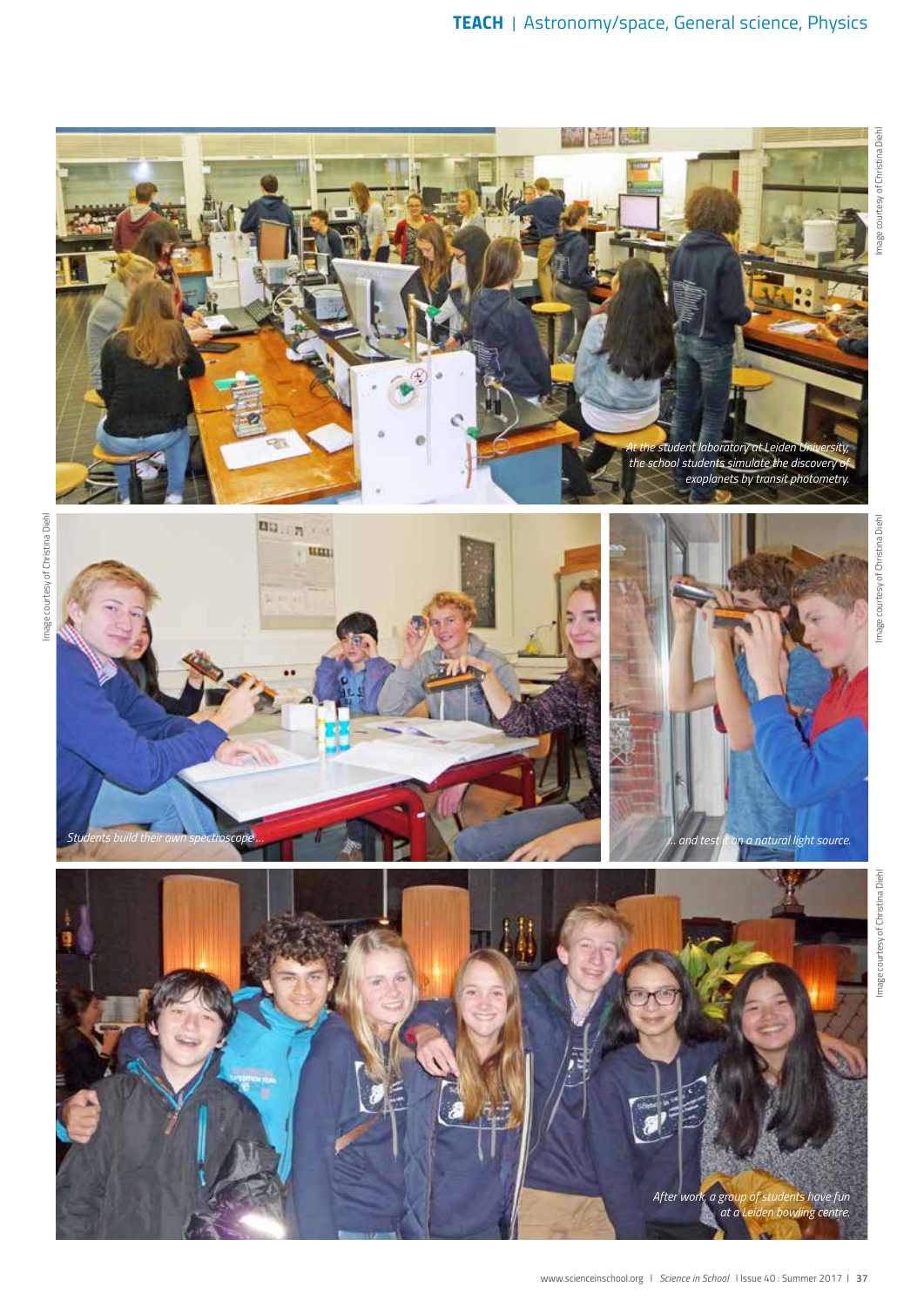

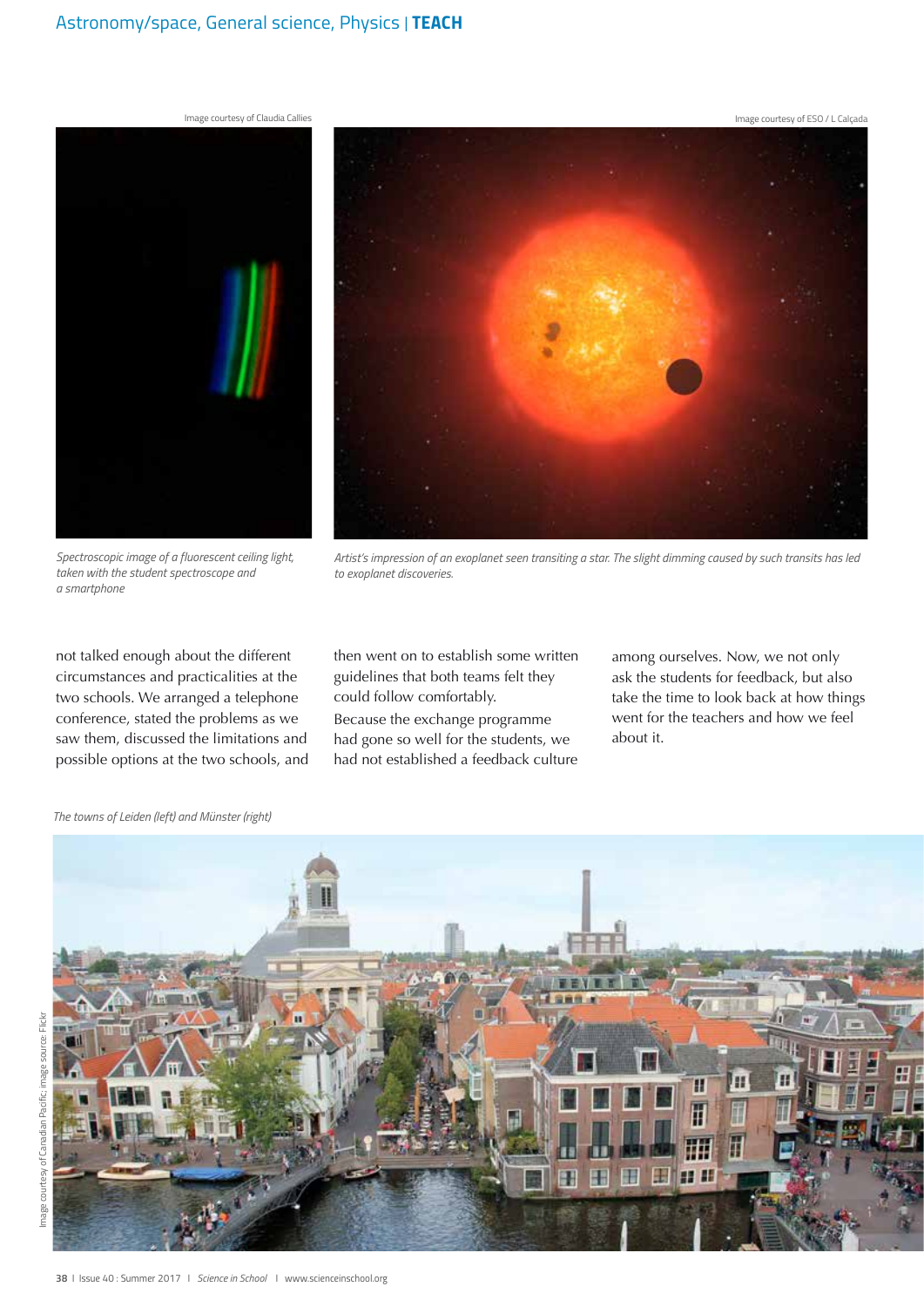#### Astronomy/space, General science, Physics *| TEACH*

Image courtesy of ESO / L Calçada



*Spectroscopic image of a fluorescent ceiling light, taken with the student spectroscope and a smartphone*

not talked enough about the different circumstances and practicalities at the two schools. We arranged a telephone conference, stated the problems as we saw them, discussed the limitations and possible options at the two schools, and

*Artist's impression of an exoplanet seen transiting a star. The slight dimming caused by such transits has led to exoplanet discoveries.* 

then went on to establish some written guidelines that both teams felt they could follow comfortably.

Because the exchange programme had gone so well for the students, we had not established a feedback culture

among ourselves. Now, we not only ask the students for feedback, but also take the time to look back at how things went for the teachers and how we feel about it.

驆





Image courtesy of Canadian Pacific; image source: Flickr

mage

courtesy of Canadian Pacific; image source: Flickr